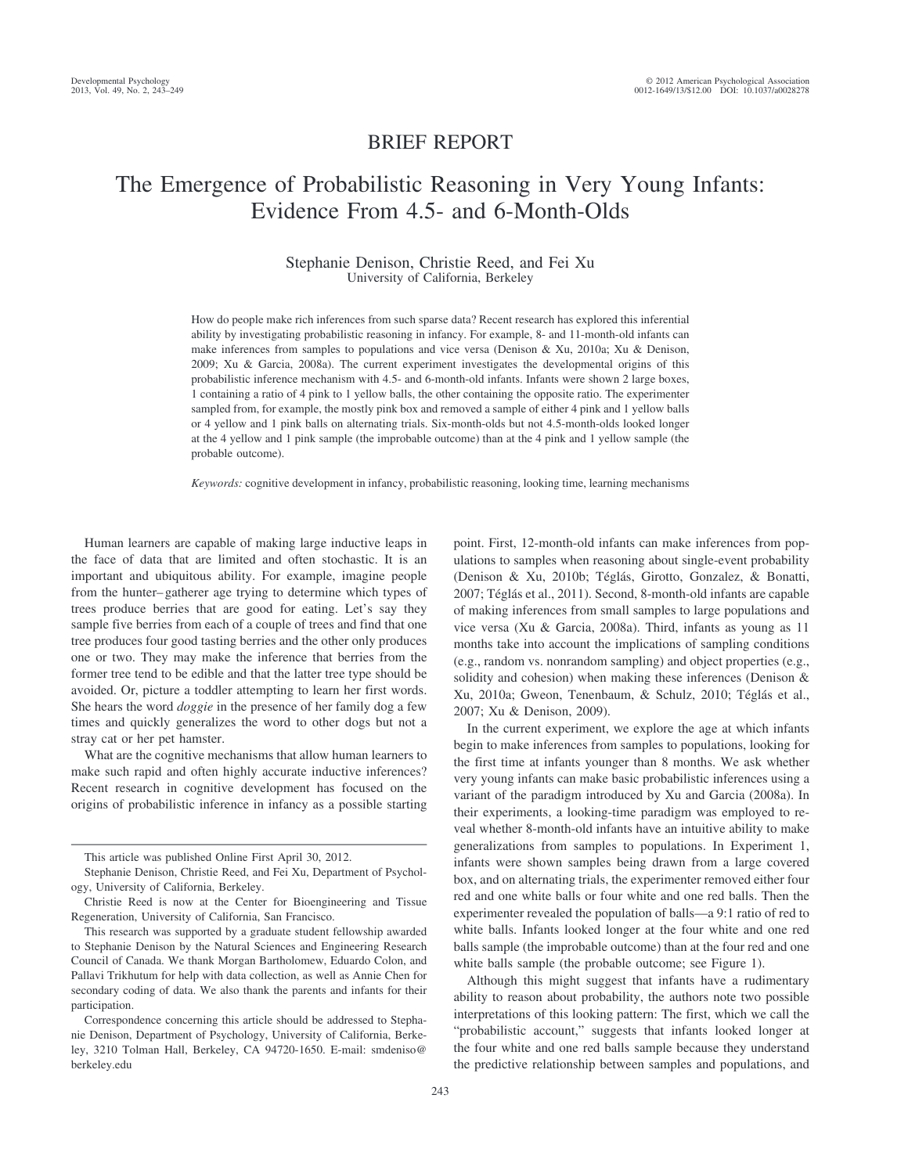# BRIEF REPORT

# The Emergence of Probabilistic Reasoning in Very Young Infants: Evidence From 4.5- and 6-Month-Olds

### Stephanie Denison, Christie Reed, and Fei Xu University of California, Berkeley

How do people make rich inferences from such sparse data? Recent research has explored this inferential ability by investigating probabilistic reasoning in infancy. For example, 8- and 11-month-old infants can make inferences from samples to populations and vice versa (Denison & Xu, 2010a; Xu & Denison, 2009; Xu & Garcia, 2008a). The current experiment investigates the developmental origins of this probabilistic inference mechanism with 4.5- and 6-month-old infants. Infants were shown 2 large boxes, 1 containing a ratio of 4 pink to 1 yellow balls, the other containing the opposite ratio. The experimenter sampled from, for example, the mostly pink box and removed a sample of either 4 pink and 1 yellow balls or 4 yellow and 1 pink balls on alternating trials. Six-month-olds but not 4.5-month-olds looked longer at the 4 yellow and 1 pink sample (the improbable outcome) than at the 4 pink and 1 yellow sample (the probable outcome).

*Keywords:* cognitive development in infancy, probabilistic reasoning, looking time, learning mechanisms

Human learners are capable of making large inductive leaps in the face of data that are limited and often stochastic. It is an important and ubiquitous ability. For example, imagine people from the hunter–gatherer age trying to determine which types of trees produce berries that are good for eating. Let's say they sample five berries from each of a couple of trees and find that one tree produces four good tasting berries and the other only produces one or two. They may make the inference that berries from the former tree tend to be edible and that the latter tree type should be avoided. Or, picture a toddler attempting to learn her first words. She hears the word *doggie* in the presence of her family dog a few times and quickly generalizes the word to other dogs but not a stray cat or her pet hamster.

What are the cognitive mechanisms that allow human learners to make such rapid and often highly accurate inductive inferences? Recent research in cognitive development has focused on the origins of probabilistic inference in infancy as a possible starting

point. First, 12-month-old infants can make inferences from populations to samples when reasoning about single-event probability (Denison & Xu, 2010b; Téglás, Girotto, Gonzalez, & Bonatti, 2007; Téglás et al., 2011). Second, 8-month-old infants are capable of making inferences from small samples to large populations and vice versa (Xu & Garcia, 2008a). Third, infants as young as 11 months take into account the implications of sampling conditions (e.g., random vs. nonrandom sampling) and object properties (e.g., solidity and cohesion) when making these inferences (Denison & Xu, 2010a; Gweon, Tenenbaum, & Schulz, 2010; Téglás et al., 2007; Xu & Denison, 2009).

In the current experiment, we explore the age at which infants begin to make inferences from samples to populations, looking for the first time at infants younger than 8 months. We ask whether very young infants can make basic probabilistic inferences using a variant of the paradigm introduced by Xu and Garcia (2008a). In their experiments, a looking-time paradigm was employed to reveal whether 8-month-old infants have an intuitive ability to make generalizations from samples to populations. In Experiment 1, infants were shown samples being drawn from a large covered box, and on alternating trials, the experimenter removed either four red and one white balls or four white and one red balls. Then the experimenter revealed the population of balls—a 9:1 ratio of red to white balls. Infants looked longer at the four white and one red balls sample (the improbable outcome) than at the four red and one white balls sample (the probable outcome; see Figure 1).

Although this might suggest that infants have a rudimentary ability to reason about probability, the authors note two possible interpretations of this looking pattern: The first, which we call the "probabilistic account," suggests that infants looked longer at the four white and one red balls sample because they understand the predictive relationship between samples and populations, and

This article was published Online First April 30, 2012.

Stephanie Denison, Christie Reed, and Fei Xu, Department of Psychology, University of California, Berkeley.

Christie Reed is now at the Center for Bioengineering and Tissue Regeneration, University of California, San Francisco.

This research was supported by a graduate student fellowship awarded to Stephanie Denison by the Natural Sciences and Engineering Research Council of Canada. We thank Morgan Bartholomew, Eduardo Colon, and Pallavi Trikhutum for help with data collection, as well as Annie Chen for secondary coding of data. We also thank the parents and infants for their participation.

Correspondence concerning this article should be addressed to Stephanie Denison, Department of Psychology, University of California, Berkeley, 3210 Tolman Hall, Berkeley, CA 94720-1650. E-mail: smdeniso@ berkeley.edu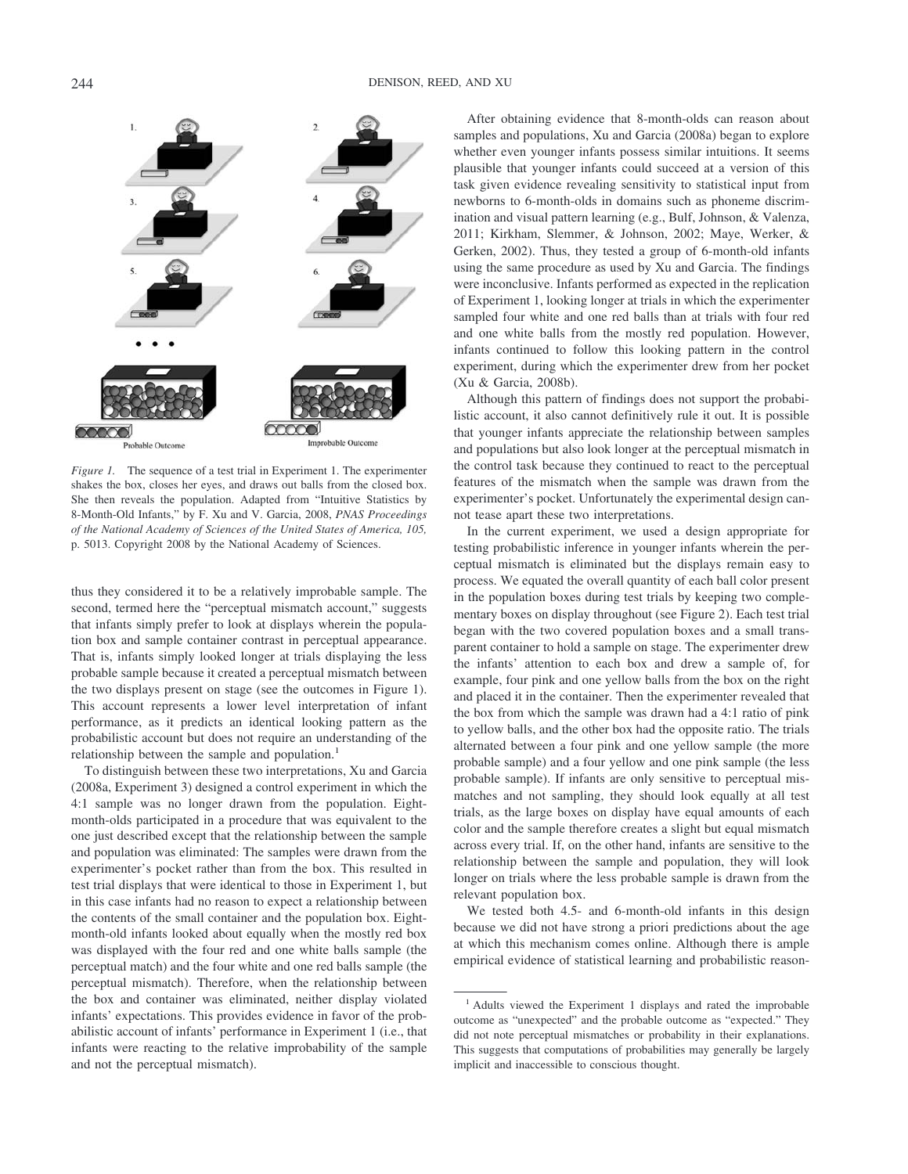

*Figure 1.* The sequence of a test trial in Experiment 1. The experimenter shakes the box, closes her eyes, and draws out balls from the closed box. She then reveals the population. Adapted from "Intuitive Statistics by 8-Month-Old Infants," by F. Xu and V. Garcia, 2008, *PNAS Proceedings of the National Academy of Sciences of the United States of America, 105,* p. 5013. Copyright 2008 by the National Academy of Sciences.

thus they considered it to be a relatively improbable sample. The second, termed here the "perceptual mismatch account," suggests that infants simply prefer to look at displays wherein the population box and sample container contrast in perceptual appearance. That is, infants simply looked longer at trials displaying the less probable sample because it created a perceptual mismatch between the two displays present on stage (see the outcomes in Figure 1). This account represents a lower level interpretation of infant performance, as it predicts an identical looking pattern as the probabilistic account but does not require an understanding of the relationship between the sample and population.<sup>1</sup>

To distinguish between these two interpretations, Xu and Garcia (2008a, Experiment 3) designed a control experiment in which the 4:1 sample was no longer drawn from the population. Eightmonth-olds participated in a procedure that was equivalent to the one just described except that the relationship between the sample and population was eliminated: The samples were drawn from the experimenter's pocket rather than from the box. This resulted in test trial displays that were identical to those in Experiment 1, but in this case infants had no reason to expect a relationship between the contents of the small container and the population box. Eightmonth-old infants looked about equally when the mostly red box was displayed with the four red and one white balls sample (the perceptual match) and the four white and one red balls sample (the perceptual mismatch). Therefore, when the relationship between the box and container was eliminated, neither display violated infants' expectations. This provides evidence in favor of the probabilistic account of infants' performance in Experiment 1 (i.e., that infants were reacting to the relative improbability of the sample and not the perceptual mismatch).

After obtaining evidence that 8-month-olds can reason about samples and populations, Xu and Garcia (2008a) began to explore whether even younger infants possess similar intuitions. It seems plausible that younger infants could succeed at a version of this task given evidence revealing sensitivity to statistical input from newborns to 6-month-olds in domains such as phoneme discrimination and visual pattern learning (e.g., Bulf, Johnson, & Valenza, 2011; Kirkham, Slemmer, & Johnson, 2002; Maye, Werker, & Gerken, 2002). Thus, they tested a group of 6-month-old infants using the same procedure as used by Xu and Garcia. The findings were inconclusive. Infants performed as expected in the replication of Experiment 1, looking longer at trials in which the experimenter sampled four white and one red balls than at trials with four red and one white balls from the mostly red population. However, infants continued to follow this looking pattern in the control experiment, during which the experimenter drew from her pocket (Xu & Garcia, 2008b).

Although this pattern of findings does not support the probabilistic account, it also cannot definitively rule it out. It is possible that younger infants appreciate the relationship between samples and populations but also look longer at the perceptual mismatch in the control task because they continued to react to the perceptual features of the mismatch when the sample was drawn from the experimenter's pocket. Unfortunately the experimental design cannot tease apart these two interpretations.

In the current experiment, we used a design appropriate for testing probabilistic inference in younger infants wherein the perceptual mismatch is eliminated but the displays remain easy to process. We equated the overall quantity of each ball color present in the population boxes during test trials by keeping two complementary boxes on display throughout (see Figure 2). Each test trial began with the two covered population boxes and a small transparent container to hold a sample on stage. The experimenter drew the infants' attention to each box and drew a sample of, for example, four pink and one yellow balls from the box on the right and placed it in the container. Then the experimenter revealed that the box from which the sample was drawn had a 4:1 ratio of pink to yellow balls, and the other box had the opposite ratio. The trials alternated between a four pink and one yellow sample (the more probable sample) and a four yellow and one pink sample (the less probable sample). If infants are only sensitive to perceptual mismatches and not sampling, they should look equally at all test trials, as the large boxes on display have equal amounts of each color and the sample therefore creates a slight but equal mismatch across every trial. If, on the other hand, infants are sensitive to the relationship between the sample and population, they will look longer on trials where the less probable sample is drawn from the relevant population box.

We tested both 4.5- and 6-month-old infants in this design because we did not have strong a priori predictions about the age at which this mechanism comes online. Although there is ample empirical evidence of statistical learning and probabilistic reason-

<sup>1</sup> Adults viewed the Experiment 1 displays and rated the improbable outcome as "unexpected" and the probable outcome as "expected." They did not note perceptual mismatches or probability in their explanations. This suggests that computations of probabilities may generally be largely implicit and inaccessible to conscious thought.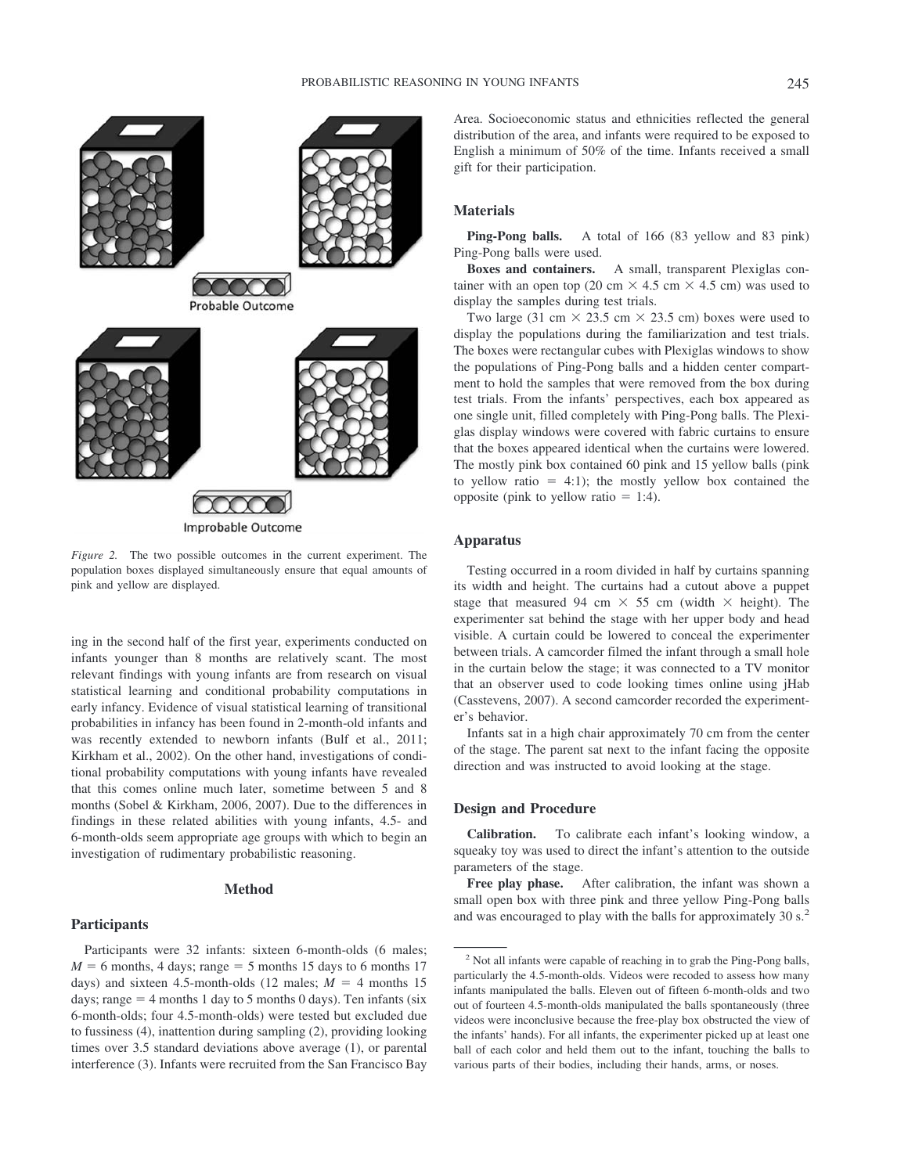

*Figure 2.* The two possible outcomes in the current experiment. The population boxes displayed simultaneously ensure that equal amounts of pink and yellow are displayed.

ing in the second half of the first year, experiments conducted on infants younger than 8 months are relatively scant. The most relevant findings with young infants are from research on visual statistical learning and conditional probability computations in early infancy. Evidence of visual statistical learning of transitional probabilities in infancy has been found in 2-month-old infants and was recently extended to newborn infants (Bulf et al., 2011; Kirkham et al., 2002). On the other hand, investigations of conditional probability computations with young infants have revealed that this comes online much later, sometime between 5 and 8 months (Sobel & Kirkham, 2006, 2007). Due to the differences in findings in these related abilities with young infants, 4.5- and 6-month-olds seem appropriate age groups with which to begin an investigation of rudimentary probabilistic reasoning.

#### **Method**

#### **Participants**

Participants were 32 infants: sixteen 6-month-olds (6 males;  $M = 6$  months, 4 days; range = 5 months 15 days to 6 months 17 days) and sixteen 4.5-month-olds (12 males;  $M = 4$  months 15 days; range  $=$  4 months 1 day to 5 months 0 days). Ten infants (six 6-month-olds; four 4.5-month-olds) were tested but excluded due to fussiness (4), inattention during sampling (2), providing looking times over 3.5 standard deviations above average (1), or parental interference (3). Infants were recruited from the San Francisco Bay

Area. Socioeconomic status and ethnicities reflected the general distribution of the area, and infants were required to be exposed to English a minimum of 50% of the time. Infants received a small gift for their participation.

#### **Materials**

**Ping-Pong balls.** A total of 166 (83 yellow and 83 pink) Ping-Pong balls were used.

**Boxes and containers.** A small, transparent Plexiglas container with an open top (20 cm  $\times$  4.5 cm  $\times$  4.5 cm) was used to display the samples during test trials.

Two large (31 cm  $\times$  23.5 cm  $\times$  23.5 cm) boxes were used to display the populations during the familiarization and test trials. The boxes were rectangular cubes with Plexiglas windows to show the populations of Ping-Pong balls and a hidden center compartment to hold the samples that were removed from the box during test trials. From the infants' perspectives, each box appeared as one single unit, filled completely with Ping-Pong balls. The Plexiglas display windows were covered with fabric curtains to ensure that the boxes appeared identical when the curtains were lowered. The mostly pink box contained 60 pink and 15 yellow balls (pink to yellow ratio  $= 4:1$ ); the mostly yellow box contained the opposite (pink to yellow ratio  $= 1:4$ ).

### **Apparatus**

Testing occurred in a room divided in half by curtains spanning its width and height. The curtains had a cutout above a puppet stage that measured 94 cm  $\times$  55 cm (width  $\times$  height). The experimenter sat behind the stage with her upper body and head visible. A curtain could be lowered to conceal the experimenter between trials. A camcorder filmed the infant through a small hole in the curtain below the stage; it was connected to a TV monitor that an observer used to code looking times online using jHab (Casstevens, 2007). A second camcorder recorded the experimenter's behavior.

Infants sat in a high chair approximately 70 cm from the center of the stage. The parent sat next to the infant facing the opposite direction and was instructed to avoid looking at the stage.

#### **Design and Procedure**

**Calibration.** To calibrate each infant's looking window, a squeaky toy was used to direct the infant's attention to the outside parameters of the stage.

**Free play phase.** After calibration, the infant was shown a small open box with three pink and three yellow Ping-Pong balls and was encouraged to play with the balls for approximately 30 s.<sup>2</sup>

<sup>&</sup>lt;sup>2</sup> Not all infants were capable of reaching in to grab the Ping-Pong balls, particularly the 4.5-month-olds. Videos were recoded to assess how many infants manipulated the balls. Eleven out of fifteen 6-month-olds and two out of fourteen 4.5-month-olds manipulated the balls spontaneously (three videos were inconclusive because the free-play box obstructed the view of the infants' hands). For all infants, the experimenter picked up at least one ball of each color and held them out to the infant, touching the balls to various parts of their bodies, including their hands, arms, or noses.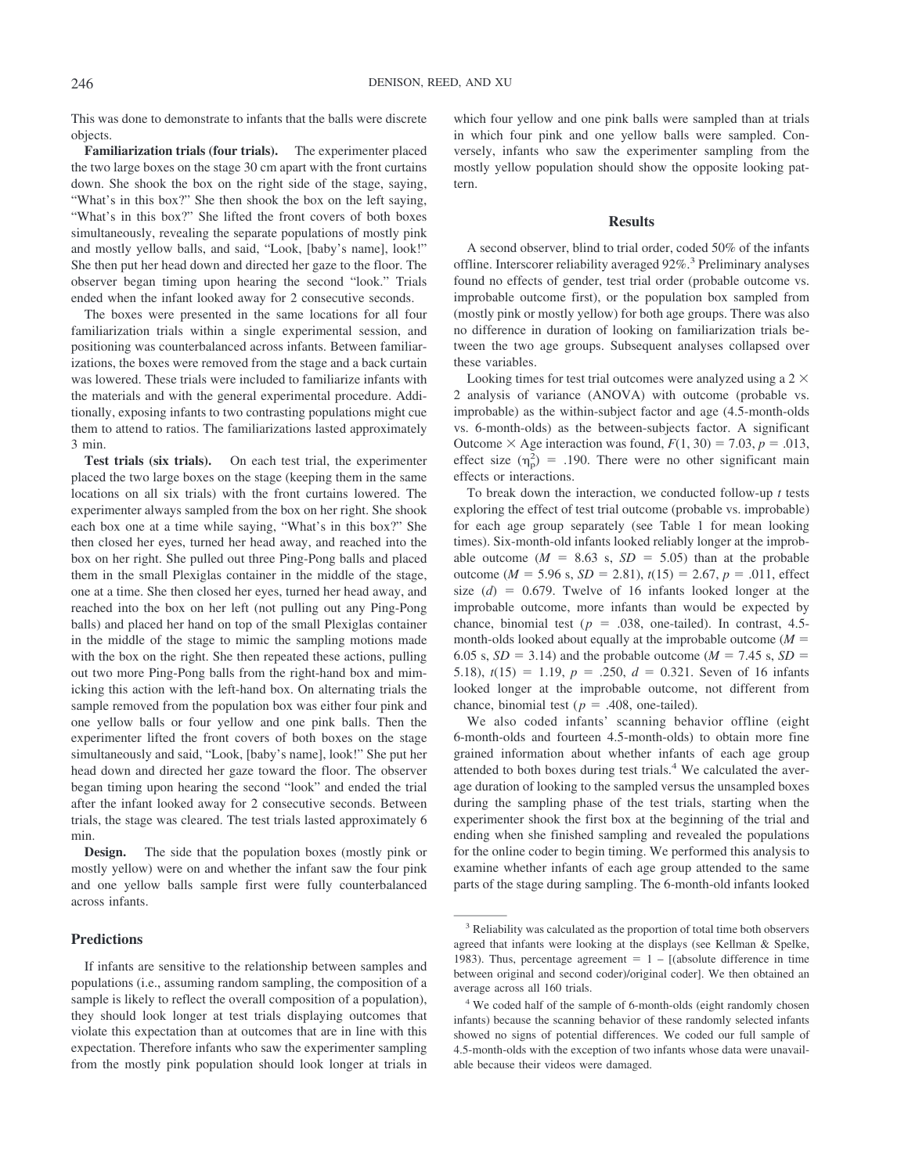This was done to demonstrate to infants that the balls were discrete objects.

**Familiarization trials (four trials).** The experimenter placed the two large boxes on the stage 30 cm apart with the front curtains down. She shook the box on the right side of the stage, saying, "What's in this box?" She then shook the box on the left saying, "What's in this box?" She lifted the front covers of both boxes simultaneously, revealing the separate populations of mostly pink and mostly yellow balls, and said, "Look, [baby's name], look!" She then put her head down and directed her gaze to the floor. The observer began timing upon hearing the second "look." Trials ended when the infant looked away for 2 consecutive seconds.

The boxes were presented in the same locations for all four familiarization trials within a single experimental session, and positioning was counterbalanced across infants. Between familiarizations, the boxes were removed from the stage and a back curtain was lowered. These trials were included to familiarize infants with the materials and with the general experimental procedure. Additionally, exposing infants to two contrasting populations might cue them to attend to ratios. The familiarizations lasted approximately 3 min.

**Test trials (six trials).** On each test trial, the experimenter placed the two large boxes on the stage (keeping them in the same locations on all six trials) with the front curtains lowered. The experimenter always sampled from the box on her right. She shook each box one at a time while saying, "What's in this box?" She then closed her eyes, turned her head away, and reached into the box on her right. She pulled out three Ping-Pong balls and placed them in the small Plexiglas container in the middle of the stage, one at a time. She then closed her eyes, turned her head away, and reached into the box on her left (not pulling out any Ping-Pong balls) and placed her hand on top of the small Plexiglas container in the middle of the stage to mimic the sampling motions made with the box on the right. She then repeated these actions, pulling out two more Ping-Pong balls from the right-hand box and mimicking this action with the left-hand box. On alternating trials the sample removed from the population box was either four pink and one yellow balls or four yellow and one pink balls. Then the experimenter lifted the front covers of both boxes on the stage simultaneously and said, "Look, [baby's name], look!" She put her head down and directed her gaze toward the floor. The observer began timing upon hearing the second "look" and ended the trial after the infant looked away for 2 consecutive seconds. Between trials, the stage was cleared. The test trials lasted approximately 6 min.

**Design.** The side that the population boxes (mostly pink or mostly yellow) were on and whether the infant saw the four pink and one yellow balls sample first were fully counterbalanced across infants.

#### **Predictions**

If infants are sensitive to the relationship between samples and populations (i.e., assuming random sampling, the composition of a sample is likely to reflect the overall composition of a population), they should look longer at test trials displaying outcomes that violate this expectation than at outcomes that are in line with this expectation. Therefore infants who saw the experimenter sampling from the mostly pink population should look longer at trials in

which four yellow and one pink balls were sampled than at trials in which four pink and one yellow balls were sampled. Conversely, infants who saw the experimenter sampling from the mostly yellow population should show the opposite looking pattern.

#### **Results**

A second observer, blind to trial order, coded 50% of the infants offline. Interscorer reliability averaged 92%. <sup>3</sup> Preliminary analyses found no effects of gender, test trial order (probable outcome vs. improbable outcome first), or the population box sampled from (mostly pink or mostly yellow) for both age groups. There was also no difference in duration of looking on familiarization trials between the two age groups. Subsequent analyses collapsed over these variables.

Looking times for test trial outcomes were analyzed using a  $2 \times$ 2 analysis of variance (ANOVA) with outcome (probable vs. improbable) as the within-subject factor and age (4.5-month-olds vs. 6-month-olds) as the between-subjects factor. A significant Outcome  $\times$  Age interaction was found,  $F(1, 30) = 7.03$ ,  $p = .013$ , effect size  $(\eta_{\rm p}^2) = .190$ . There were no other significant main effects or interactions.

To break down the interaction, we conducted follow-up *t* tests exploring the effect of test trial outcome (probable vs. improbable) for each age group separately (see Table 1 for mean looking times). Six-month-old infants looked reliably longer at the improbable outcome ( $M = 8.63$  s,  $SD = 5.05$ ) than at the probable outcome ( $M = 5.96$  s,  $SD = 2.81$ ),  $t(15) = 2.67$ ,  $p = .011$ , effect size  $(d) = 0.679$ . Twelve of 16 infants looked longer at the improbable outcome, more infants than would be expected by chance, binomial test ( $p = .038$ , one-tailed). In contrast, 4.5month-olds looked about equally at the improbable outcome  $(M =$ 6.05 s,  $SD = 3.14$ ) and the probable outcome ( $M = 7.45$  s,  $SD =$ 5.18),  $t(15) = 1.19$ ,  $p = .250$ ,  $d = 0.321$ . Seven of 16 infants looked longer at the improbable outcome, not different from chance, binomial test ( $p = .408$ , one-tailed).

We also coded infants' scanning behavior offline (eight 6-month-olds and fourteen 4.5-month-olds) to obtain more fine grained information about whether infants of each age group attended to both boxes during test trials. <sup>4</sup> We calculated the average duration of looking to the sampled versus the unsampled boxes during the sampling phase of the test trials, starting when the experimenter shook the first box at the beginning of the trial and ending when she finished sampling and revealed the populations for the online coder to begin timing. We performed this analysis to examine whether infants of each age group attended to the same parts of the stage during sampling. The 6-month-old infants looked

<sup>&</sup>lt;sup>3</sup> Reliability was calculated as the proportion of total time both observers agreed that infants were looking at the displays (see Kellman & Spelke, 1983). Thus, percentage agreement  $= 1 - [(absolute difference in time$ between original and second coder)/original coder]. We then obtained an average across all 160 trials.

<sup>&</sup>lt;sup>4</sup> We coded half of the sample of 6-month-olds (eight randomly chosen infants) because the scanning behavior of these randomly selected infants showed no signs of potential differences. We coded our full sample of 4.5-month-olds with the exception of two infants whose data were unavailable because their videos were damaged.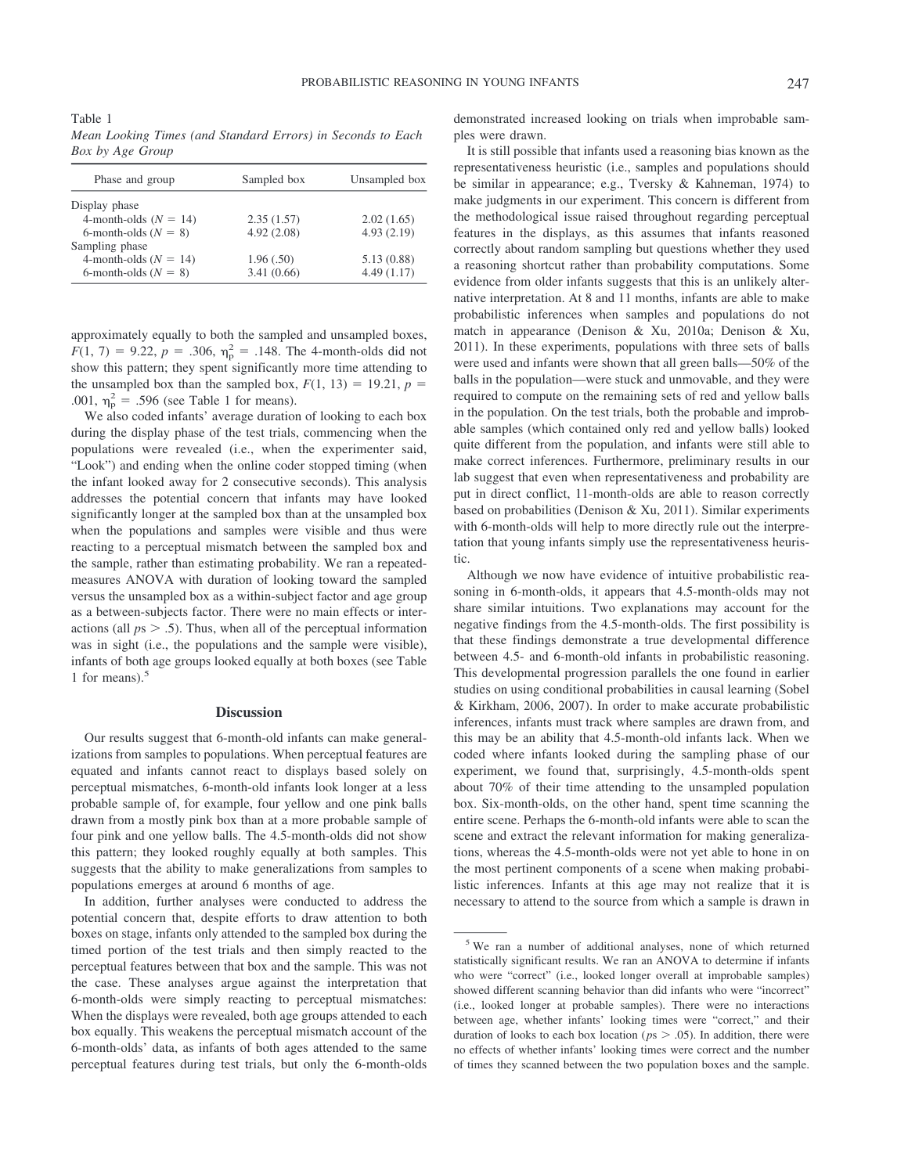Table 1 *Mean Looking Times (and Standard Errors) in Seconds to Each Box by Age Group*

| Phase and group         | Sampled box | Unsampled box |
|-------------------------|-------------|---------------|
| Display phase           |             |               |
| 4-month-olds $(N = 14)$ | 2.35(1.57)  | 2.02(1.65)    |
| 6-month-olds $(N = 8)$  | 4.92(2.08)  | 4.93(2.19)    |
| Sampling phase          |             |               |
| 4-month-olds $(N = 14)$ | 1.96(.50)   | 5.13 (0.88)   |
| 6-month-olds $(N = 8)$  | 3.41(0.66)  | 4.49(1.17)    |

approximately equally to both the sampled and unsampled boxes,  $F(1, 7) = 9.22, p = .306, \eta_p^2 = .148$ . The 4-month-olds did not show this pattern; they spent significantly more time attending to the unsampled box than the sampled box,  $F(1, 13) = 19.21$ ,  $p =$ .001,  $\eta_p^2$  = .596 (see Table 1 for means).

We also coded infants' average duration of looking to each box during the display phase of the test trials, commencing when the populations were revealed (i.e., when the experimenter said, "Look") and ending when the online coder stopped timing (when the infant looked away for 2 consecutive seconds). This analysis addresses the potential concern that infants may have looked significantly longer at the sampled box than at the unsampled box when the populations and samples were visible and thus were reacting to a perceptual mismatch between the sampled box and the sample, rather than estimating probability. We ran a repeatedmeasures ANOVA with duration of looking toward the sampled versus the unsampled box as a within-subject factor and age group as a between-subjects factor. There were no main effects or interactions (all  $ps > .5$ ). Thus, when all of the perceptual information was in sight (i.e., the populations and the sample were visible), infants of both age groups looked equally at both boxes (see Table 1 for means). 5

#### **Discussion**

Our results suggest that 6-month-old infants can make generalizations from samples to populations. When perceptual features are equated and infants cannot react to displays based solely on perceptual mismatches, 6-month-old infants look longer at a less probable sample of, for example, four yellow and one pink balls drawn from a mostly pink box than at a more probable sample of four pink and one yellow balls. The 4.5-month-olds did not show this pattern; they looked roughly equally at both samples. This suggests that the ability to make generalizations from samples to populations emerges at around 6 months of age.

In addition, further analyses were conducted to address the potential concern that, despite efforts to draw attention to both boxes on stage, infants only attended to the sampled box during the timed portion of the test trials and then simply reacted to the perceptual features between that box and the sample. This was not the case. These analyses argue against the interpretation that 6-month-olds were simply reacting to perceptual mismatches: When the displays were revealed, both age groups attended to each box equally. This weakens the perceptual mismatch account of the 6-month-olds' data, as infants of both ages attended to the same perceptual features during test trials, but only the 6-month-olds demonstrated increased looking on trials when improbable samples were drawn.

It is still possible that infants used a reasoning bias known as the representativeness heuristic (i.e., samples and populations should be similar in appearance; e.g., Tversky & Kahneman, 1974) to make judgments in our experiment. This concern is different from the methodological issue raised throughout regarding perceptual features in the displays, as this assumes that infants reasoned correctly about random sampling but questions whether they used a reasoning shortcut rather than probability computations. Some evidence from older infants suggests that this is an unlikely alternative interpretation. At 8 and 11 months, infants are able to make probabilistic inferences when samples and populations do not match in appearance (Denison & Xu, 2010a; Denison & Xu, 2011). In these experiments, populations with three sets of balls were used and infants were shown that all green balls—50% of the balls in the population—were stuck and unmovable, and they were required to compute on the remaining sets of red and yellow balls in the population. On the test trials, both the probable and improbable samples (which contained only red and yellow balls) looked quite different from the population, and infants were still able to make correct inferences. Furthermore, preliminary results in our lab suggest that even when representativeness and probability are put in direct conflict, 11-month-olds are able to reason correctly based on probabilities (Denison & Xu, 2011). Similar experiments with 6-month-olds will help to more directly rule out the interpretation that young infants simply use the representativeness heuristic.

Although we now have evidence of intuitive probabilistic reasoning in 6-month-olds, it appears that 4.5-month-olds may not share similar intuitions. Two explanations may account for the negative findings from the 4.5-month-olds. The first possibility is that these findings demonstrate a true developmental difference between 4.5- and 6-month-old infants in probabilistic reasoning. This developmental progression parallels the one found in earlier studies on using conditional probabilities in causal learning (Sobel & Kirkham, 2006, 2007). In order to make accurate probabilistic inferences, infants must track where samples are drawn from, and this may be an ability that 4.5-month-old infants lack. When we coded where infants looked during the sampling phase of our experiment, we found that, surprisingly, 4.5-month-olds spent about 70% of their time attending to the unsampled population box. Six-month-olds, on the other hand, spent time scanning the entire scene. Perhaps the 6-month-old infants were able to scan the scene and extract the relevant information for making generalizations, whereas the 4.5-month-olds were not yet able to hone in on the most pertinent components of a scene when making probabilistic inferences. Infants at this age may not realize that it is necessary to attend to the source from which a sample is drawn in

<sup>5</sup> We ran a number of additional analyses, none of which returned statistically significant results. We ran an ANOVA to determine if infants who were "correct" (i.e., looked longer overall at improbable samples) showed different scanning behavior than did infants who were "incorrect" (i.e., looked longer at probable samples). There were no interactions between age, whether infants' looking times were "correct," and their duration of looks to each box location ( $ps > .05$ ). In addition, there were no effects of whether infants' looking times were correct and the number of times they scanned between the two population boxes and the sample.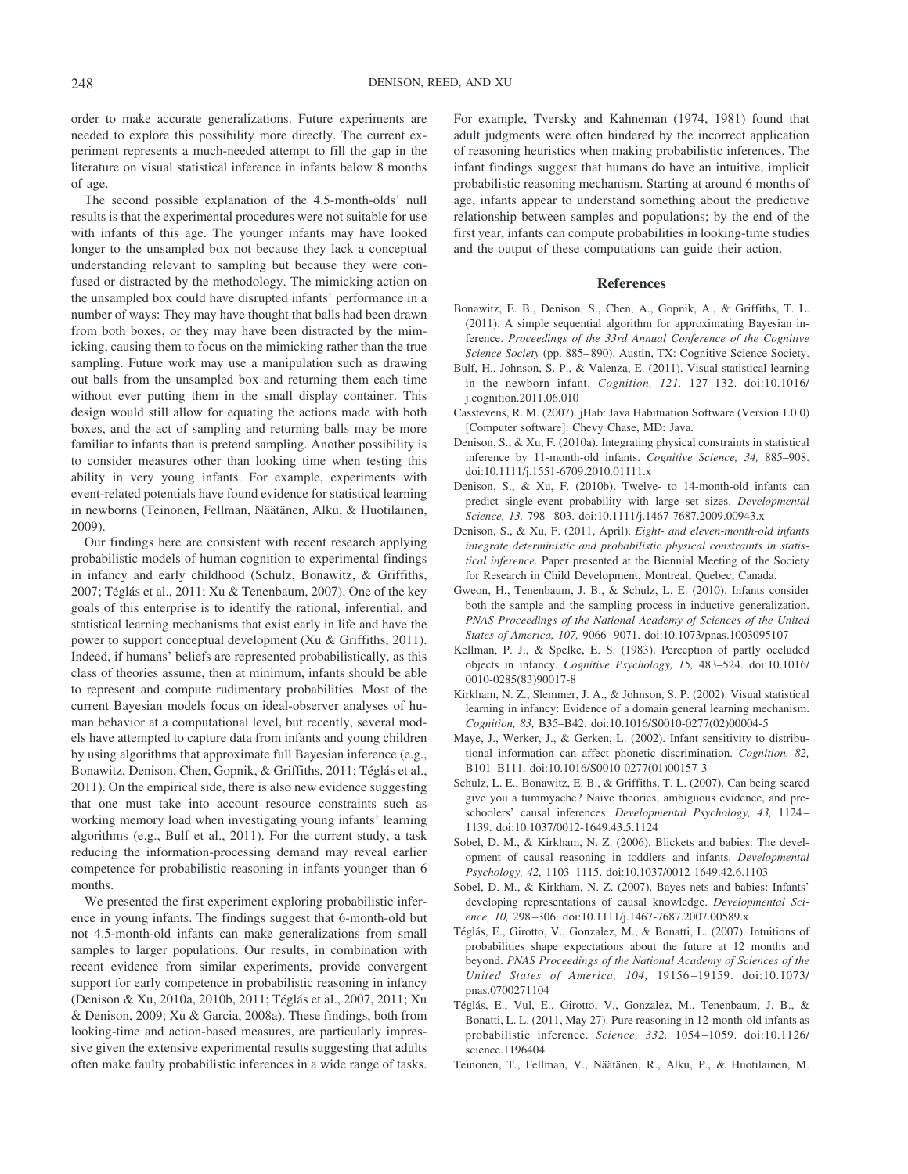order to make accurate generalizations. Future experiments are needed to explore this possibility more directly. The current experiment represents a much-needed attempt to fill the gap in the literature on visual statistical inference in infants below 8 months of age.

The second possible explanation of the 4.5-month-olds' null results is that the experimental procedures were not suitable for use with infants of this age. The younger infants may have looked longer to the unsampled box not because they lack a conceptual understanding relevant to sampling but because they were confused or distracted by the methodology. The mimicking action on the unsampled box could have disrupted infants' performance in a number of ways: They may have thought that balls had been drawn from both boxes, or they may have been distracted by the mimicking, causing them to focus on the mimicking rather than the true sampling. Future work may use a manipulation such as drawing out balls from the unsampled box and returning them each time without ever putting them in the small display container. This design would still allow for equating the actions made with both boxes, and the act of sampling and returning balls may be more familiar to infants than is pretend sampling. Another possibility is to consider measures other than looking time when testing this ability in very young infants. For example, experiments with event-related potentials have found evidence for statistical learning in newborns (Teinonen, Fellman, Näätänen, Alku, & Huotilainen, 2009).

Our findings here are consistent with recent research applying probabilistic models of human cognition to experimental findings in infancy and early childhood (Schulz, Bonawitz, & Griffiths, 2007; Téglás et al., 2011; Xu & Tenenbaum, 2007). One of the key goals of this enterprise is to identify the rational, inferential, and statistical learning mechanisms that exist early in life and have the power to support conceptual development (Xu & Griffiths, 2011). Indeed, if humans' beliefs are represented probabilistically, as this class of theories assume, then at minimum, infants should be able to represent and compute rudimentary probabilities. Most of the current Bayesian models focus on ideal-observer analyses of human behavior at a computational level, but recently, several models have attempted to capture data from infants and young children by using algorithms that approximate full Bayesian inference (e.g., Bonawitz, Denison, Chen, Gopnik, & Griffiths, 2011; Téglás et al., 2011). On the empirical side, there is also new evidence suggesting that one must take into account resource constraints such as working memory load when investigating young infants' learning algorithms (e.g., Bulf et al., 2011). For the current study, a task reducing the information-processing demand may reveal earlier competence for probabilistic reasoning in infants younger than 6 months.

We presented the first experiment exploring probabilistic inference in young infants. The findings suggest that 6-month-old but not 4.5-month-old infants can make generalizations from small samples to larger populations. Our results, in combination with recent evidence from similar experiments, provide convergent support for early competence in probabilistic reasoning in infancy (Denison & Xu, 2010a, 2010b, 2011; Téglás et al., 2007, 2011; Xu & Denison, 2009; Xu & Garcia, 2008a). These findings, both from looking-time and action-based measures, are particularly impressive given the extensive experimental results suggesting that adults often make faulty probabilistic inferences in a wide range of tasks.

For example, Tversky and Kahneman (1974, 1981) found that adult judgments were often hindered by the incorrect application of reasoning heuristics when making probabilistic inferences. The infant findings suggest that humans do have an intuitive, implicit probabilistic reasoning mechanism. Starting at around 6 months of age, infants appear to understand something about the predictive relationship between samples and populations; by the end of the first year, infants can compute probabilities in looking-time studies and the output of these computations can guide their action.

#### **References**

- Bonawitz, E. B., Denison, S., Chen, A., Gopnik, A., & Griffiths, T. L. (2011). A simple sequential algorithm for approximating Bayesian inference. *Proceedings of the 33rd Annual Conference of the Cognitive Science Society* (pp. 885–890). Austin, TX: Cognitive Science Society.
- Bulf, H., Johnson, S. P., & Valenza, E. (2011). Visual statistical learning in the newborn infant. *Cognition, 121,* 127–132. doi:10.1016/ j.cognition.2011.06.010
- Casstevens, R. M. (2007). jHab: Java Habituation Software (Version 1.0.0) [Computer software]. Chevy Chase, MD: Java.
- Denison, S., & Xu, F. (2010a). Integrating physical constraints in statistical inference by 11-month-old infants. *Cognitive Science, 34,* 885–908. doi:10.1111/j.1551-6709.2010.01111.x
- Denison, S., & Xu, F. (2010b). Twelve- to 14-month-old infants can predict single-event probability with large set sizes. *Developmental Science, 13,* 798–803. doi:10.1111/j.1467-7687.2009.00943.x
- Denison, S., & Xu, F. (2011, April). *Eight- and eleven-month-old infants integrate deterministic and probabilistic physical constraints in statistical inference.* Paper presented at the Biennial Meeting of the Society for Research in Child Development, Montreal, Quebec, Canada.
- Gweon, H., Tenenbaum, J. B., & Schulz, L. E. (2010). Infants consider both the sample and the sampling process in inductive generalization. *PNAS Proceedings of the National Academy of Sciences of the United States of America, 107,* 9066–9071. doi:10.1073/pnas.1003095107
- Kellman, P. J., & Spelke, E. S. (1983). Perception of partly occluded objects in infancy. *Cognitive Psychology, 15,* 483–524. doi:10.1016/ 0010-0285(83)90017-8
- Kirkham, N. Z., Slemmer, J. A., & Johnson, S. P. (2002). Visual statistical learning in infancy: Evidence of a domain general learning mechanism. *Cognition, 83,* B35–B42. doi:10.1016/S0010-0277(02)00004-5
- Maye, J., Werker, J., & Gerken, L. (2002). Infant sensitivity to distributional information can affect phonetic discrimination. *Cognition, 82,* B101–B111. doi:10.1016/S0010-0277(01)00157-3
- Schulz, L. E., Bonawitz, E. B., & Griffiths, T. L. (2007). Can being scared give you a tummyache? Naive theories, ambiguous evidence, and preschoolers' causal inferences. *Developmental Psychology, 43,* 1124– 1139. doi:10.1037/0012-1649.43.5.1124
- Sobel, D. M., & Kirkham, N. Z. (2006). Blickets and babies: The development of causal reasoning in toddlers and infants. *Developmental Psychology, 42,* 1103–1115. doi:10.1037/0012-1649.42.6.1103
- Sobel, D. M., & Kirkham, N. Z. (2007). Bayes nets and babies: Infants' developing representations of causal knowledge. *Developmental Science, 10,* 298–306. doi:10.1111/j.1467-7687.2007.00589.x
- Téglás, E., Girotto, V., Gonzalez, M., & Bonatti, L. (2007). Intuitions of probabilities shape expectations about the future at 12 months and beyond. *PNAS Proceedings of the National Academy of Sciences of the United States of America, 104,* 19156 –19159. doi:10.1073/ pnas.0700271104
- Téglás, E., Vul, E., Girotto, V., Gonzalez, M., Tenenbaum, J. B., & Bonatti, L. L. (2011, May 27). Pure reasoning in 12-month-old infants as probabilistic inference. *Science, 332,* 1054 –1059. doi:10.1126/ science.1196404
- Teinonen, T., Fellman, V., Näätänen, R., Alku, P., & Huotilainen, M.